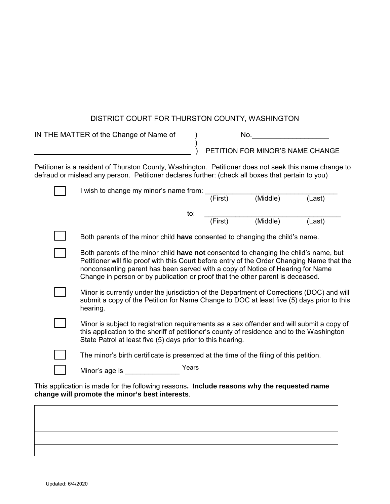## DISTRICT COURT FOR THURSTON COUNTY, WASHINGTON

| IN THE MATTER of the Change of Name of |                                                                                                                                                                                                                                                                                                                                                         |  | No.     |                                  |        |  |
|----------------------------------------|---------------------------------------------------------------------------------------------------------------------------------------------------------------------------------------------------------------------------------------------------------------------------------------------------------------------------------------------------------|--|---------|----------------------------------|--------|--|
|                                        |                                                                                                                                                                                                                                                                                                                                                         |  |         | PETITION FOR MINOR'S NAME CHANGE |        |  |
|                                        | Petitioner is a resident of Thurston County, Washington. Petitioner does not seek this name change to<br>defraud or mislead any person. Petitioner declares further: (check all boxes that pertain to you)                                                                                                                                              |  |         |                                  |        |  |
|                                        | I wish to change my minor's name from:                                                                                                                                                                                                                                                                                                                  |  | (First) | (Middle)                         | (Last) |  |
|                                        | to:                                                                                                                                                                                                                                                                                                                                                     |  | (First) | (Middle)                         | (Last) |  |
|                                        | Both parents of the minor child have consented to changing the child's name.                                                                                                                                                                                                                                                                            |  |         |                                  |        |  |
|                                        | Both parents of the minor child have not consented to changing the child's name, but<br>Petitioner will file proof with this Court before entry of the Order Changing Name that the<br>nonconsenting parent has been served with a copy of Notice of Hearing for Name<br>Change in person or by publication or proof that the other parent is deceased. |  |         |                                  |        |  |
|                                        | Minor is currently under the jurisdiction of the Department of Corrections (DOC) and will<br>submit a copy of the Petition for Name Change to DOC at least five (5) days prior to this<br>hearing.                                                                                                                                                      |  |         |                                  |        |  |
|                                        | Minor is subject to registration requirements as a sex offender and will submit a copy of<br>this application to the sheriff of petitioner's county of residence and to the Washington<br>State Patrol at least five (5) days prior to this hearing.                                                                                                    |  |         |                                  |        |  |
|                                        | The minor's birth certificate is presented at the time of the filing of this petition.                                                                                                                                                                                                                                                                  |  |         |                                  |        |  |
|                                        | Years<br>Minor's age is                                                                                                                                                                                                                                                                                                                                 |  |         |                                  |        |  |

This application is made for the following reasons**. Include reasons why the requested name change will promote the minor's best interests**.